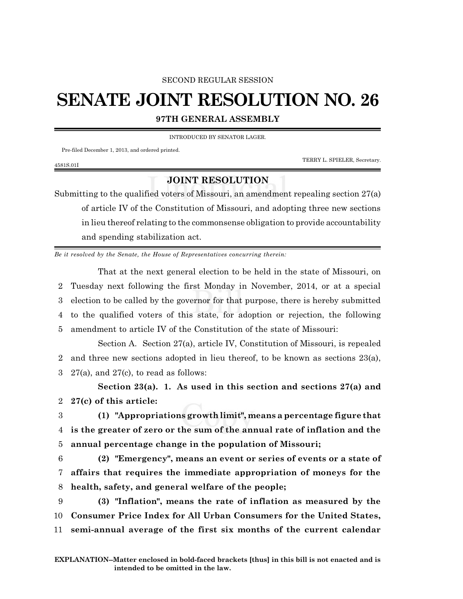## SECOND REGULAR SESSION

## **SENATE JOINT RESOLUTION NO. 26**

**97TH GENERAL ASSEMBLY**

INTRODUCED BY SENATOR LAGER.

Pre-filed December 1, 2013, and ordered printed.

TERRY L. SPIELER, Secretary.

## 4581S.01I

## **JOINT RESOLUTION**

Submitting to the qualified voters of Missouri, an amendment repealing section 27(a) of article IV of the Constitution of Missouri, and adopting three new sections in lieu thereof relating to the commonsense obligation to provide accountability and spending stabilization act.

*Be it resolved by the Senate, the House of Representatives concurring therein:*

That at the next general election to be held in the state of Missouri, on Tuesday next following the first Monday in November, 2014, or at a special election to be called by the governor for that purpose, there is hereby submitted to the qualified voters of this state, for adoption or rejection, the following amendment to article IV of the Constitution of the state of Missouri:

Section A. Section 27(a), article IV, Constitution of Missouri, is repealed 2 and three new sections adopted in lieu thereof, to be known as sections 23(a), 3 27(a), and  $27(c)$ , to read as follows:

**Section 23(a). 1. As used in this section and sections 27(a) and** 2 **27(c) of this article:**

3 **(1) "Appropriations growth limit", means a percentage figure that** 4 **is the greater of zero or the sum of the annual rate of inflation and the** 5 **annual percentage change in the population of Missouri;**

6 **(2) "Emergency", means an event or series of events or a state of** 7 **affairs that requires the immediate appropriation of moneys for the** 8 **health, safety, and general welfare of the people;**

9 **(3) "Inflation", means the rate of inflation as measured by the** 10 **Consumer Price Index for All Urban Consumers for the United States,** 11 **semi-annual average of the first six months of the current calendar**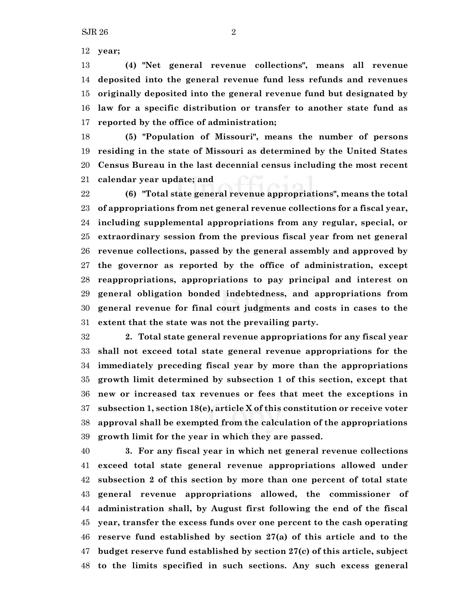**year;**

 **(4) "Net general revenue collections", means all revenue deposited into the general revenue fund less refunds and revenues originally deposited into the general revenue fund but designated by law for a specific distribution or transfer to another state fund as reported by the office of administration;**

 **(5) "Population of Missouri", means the number of persons residing in the state of Missouri as determined by the United States Census Bureau in the last decennial census including the most recent calendar year update; and**

 **(6) "Total state general revenue appropriations", means the total of appropriations from net general revenue collections for a fiscal year, including supplemental appropriations from any regular, special, or extraordinary session from the previous fiscal year from net general revenue collections, passed by the general assembly and approved by the governor as reported by the office of administration, except reappropriations, appropriations to pay principal and interest on general obligation bonded indebtedness, and appropriations from general revenue for final court judgments and costs in cases to the extent that the state was not the prevailing party.**

 **2. Total state general revenue appropriations for any fiscal year shall not exceed total state general revenue appropriations for the immediately preceding fiscal year by more than the appropriations growth limit determined by subsection 1 of this section, except that new or increased tax revenues or fees that meet the exceptions in subsection 1, section 18(e), article X of this constitution or receive voter approval shall be exempted from the calculation of the appropriations growth limit for the year in which they are passed.**

 **3. For any fiscal year in which net general revenue collections exceed total state general revenue appropriations allowed under subsection 2 of this section by more than one percent of total state general revenue appropriations allowed, the commissioner of administration shall, by August first following the end of the fiscal year, transfer the excess funds over one percent to the cash operating reserve fund established by section 27(a) of this article and to the budget reserve fund established by section 27(c) of this article, subject to the limits specified in such sections. Any such excess general**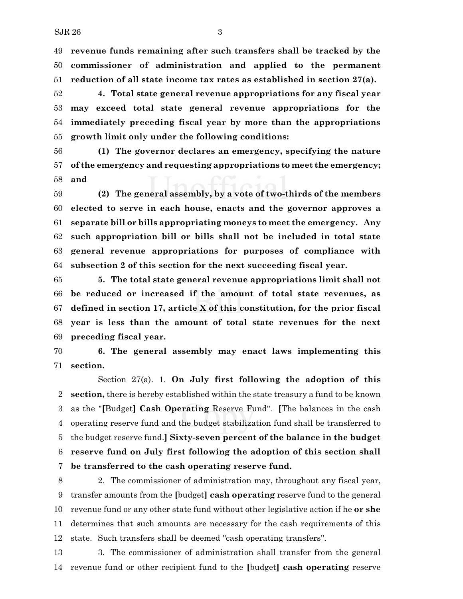**revenue funds remaining after such transfers shall be tracked by the commissioner of administration and applied to the permanent reduction of all state income tax rates as established in section 27(a).**

 **4. Total state general revenue appropriations for any fiscal year may exceed total state general revenue appropriations for the immediately preceding fiscal year by more than the appropriations growth limit only under the following conditions:**

 **(1) The governor declares an emergency, specifying the nature of the emergency and requesting appropriations to meet the emergency; and**

 **(2) The general assembly, by a vote of two-thirds of the members elected to serve in each house, enacts and the governor approves a separate bill or bills appropriating moneys to meet the emergency. Any such appropriation bill or bills shall not be included in total state general revenue appropriations for purposes of compliance with subsection 2 of this section for the next succeeding fiscal year.**

 **5. The total state general revenue appropriations limit shall not be reduced or increased if the amount of total state revenues, as defined in section 17, article X of this constitution, for the prior fiscal year is less than the amount of total state revenues for the next preceding fiscal year.**

 **6. The general assembly may enact laws implementing this section.**

Section 27(a). 1. **On July first following the adoption of this section,** there is hereby established within the state treasury a fund to be known as the "**[**Budget**] Cash Operating** Reserve Fund". **[**The balances in the cash operating reserve fund and the budget stabilization fund shall be transferred to the budget reserve fund.**] Sixty-seven percent of the balance in the budget reserve fund on July first following the adoption of this section shall be transferred to the cash operating reserve fund.**

 2. The commissioner of administration may, throughout any fiscal year, transfer amounts from the **[**budget**] cash operating** reserve fund to the general revenue fund or any other state fund without other legislative action if he **or she** determines that such amounts are necessary for the cash requirements of this state. Such transfers shall be deemed "cash operating transfers".

 3. The commissioner of administration shall transfer from the general revenue fund or other recipient fund to the **[**budget**] cash operating** reserve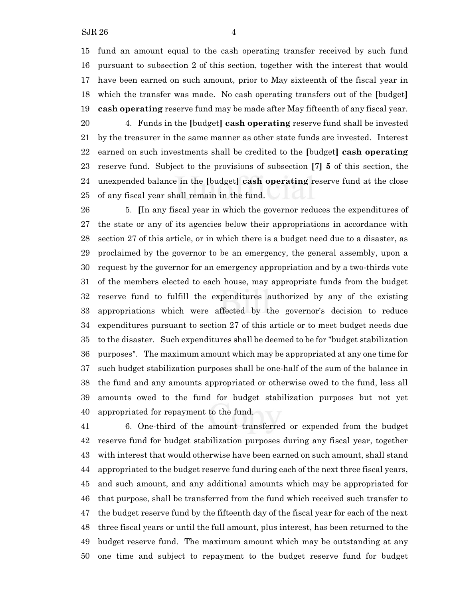fund an amount equal to the cash operating transfer received by such fund pursuant to subsection 2 of this section, together with the interest that would have been earned on such amount, prior to May sixteenth of the fiscal year in which the transfer was made. No cash operating transfers out of the **[**budget**] cash operating** reserve fund may be made after May fifteenth of any fiscal year. 4. Funds in the **[**budget**] cash operating** reserve fund shall be invested

 by the treasurer in the same manner as other state funds are invested. Interest earned on such investments shall be credited to the **[**budget**] cash operating** reserve fund. Subject to the provisions of subsection **[**7**] 5** of this section, the unexpended balance in the **[**budget**] cash operating** reserve fund at the close of any fiscal year shall remain in the fund.

 5. **[**In any fiscal year in which the governor reduces the expenditures of the state or any of its agencies below their appropriations in accordance with section 27 of this article, or in which there is a budget need due to a disaster, as proclaimed by the governor to be an emergency, the general assembly, upon a request by the governor for an emergency appropriation and by a two-thirds vote of the members elected to each house, may appropriate funds from the budget reserve fund to fulfill the expenditures authorized by any of the existing appropriations which were affected by the governor's decision to reduce expenditures pursuant to section 27 of this article or to meet budget needs due to the disaster. Such expenditures shall be deemed to be for "budget stabilization purposes". The maximum amount which may be appropriated at any one time for such budget stabilization purposes shall be one-half of the sum of the balance in the fund and any amounts appropriated or otherwise owed to the fund, less all amounts owed to the fund for budget stabilization purposes but not yet appropriated for repayment to the fund.

 6. One-third of the amount transferred or expended from the budget reserve fund for budget stabilization purposes during any fiscal year, together with interest that would otherwise have been earned on such amount, shall stand appropriated to the budget reserve fund during each of the next three fiscal years, and such amount, and any additional amounts which may be appropriated for that purpose, shall be transferred from the fund which received such transfer to the budget reserve fund by the fifteenth day of the fiscal year for each of the next three fiscal years or until the full amount, plus interest, has been returned to the budget reserve fund. The maximum amount which may be outstanding at any one time and subject to repayment to the budget reserve fund for budget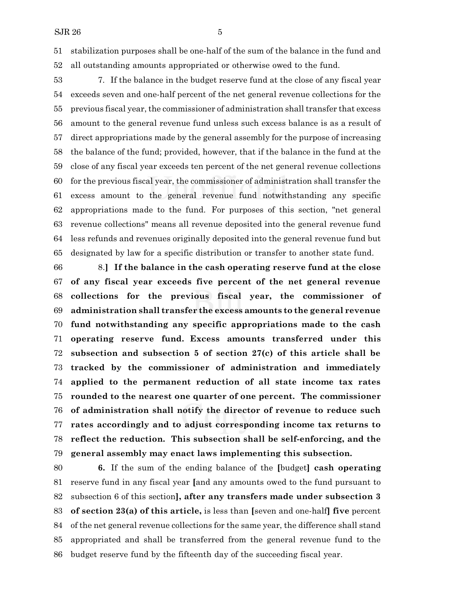stabilization purposes shall be one-half of the sum of the balance in the fund and all outstanding amounts appropriated or otherwise owed to the fund.

 7. If the balance in the budget reserve fund at the close of any fiscal year exceeds seven and one-half percent of the net general revenue collections for the previous fiscal year, the commissioner of administration shall transfer that excess amount to the general revenue fund unless such excess balance is as a result of direct appropriations made by the general assembly for the purpose of increasing the balance of the fund; provided, however, that if the balance in the fund at the close of any fiscal year exceeds ten percent of the net general revenue collections for the previous fiscal year, the commissioner of administration shall transfer the excess amount to the general revenue fund notwithstanding any specific appropriations made to the fund. For purposes of this section, "net general revenue collections" means all revenue deposited into the general revenue fund less refunds and revenues originally deposited into the general revenue fund but designated by law for a specific distribution or transfer to another state fund.

 8.**] If the balance in the cash operating reserve fund at the close of any fiscal year exceeds five percent of the net general revenue collections for the previous fiscal year, the commissioner of administration shall transfer the excess amounts to the general revenue fund notwithstanding any specific appropriations made to the cash operating reserve fund. Excess amounts transferred under this subsection and subsection 5 of section 27(c) of this article shall be tracked by the commissioner of administration and immediately applied to the permanent reduction of all state income tax rates rounded to the nearest one quarter of one percent. The commissioner of administration shall notify the director of revenue to reduce such rates accordingly and to adjust corresponding income tax returns to reflect the reduction. This subsection shall be self-enforcing, and the general assembly may enact laws implementing this subsection.**

 **6.** If the sum of the ending balance of the **[**budget**] cash operating** reserve fund in any fiscal year **[**and any amounts owed to the fund pursuant to subsection 6 of this section**], after any transfers made under subsection 3 of section 23(a) of this article,** is less than **[**seven and one-half**] five** percent of the net general revenue collections for the same year, the difference shall stand appropriated and shall be transferred from the general revenue fund to the budget reserve fund by the fifteenth day of the succeeding fiscal year.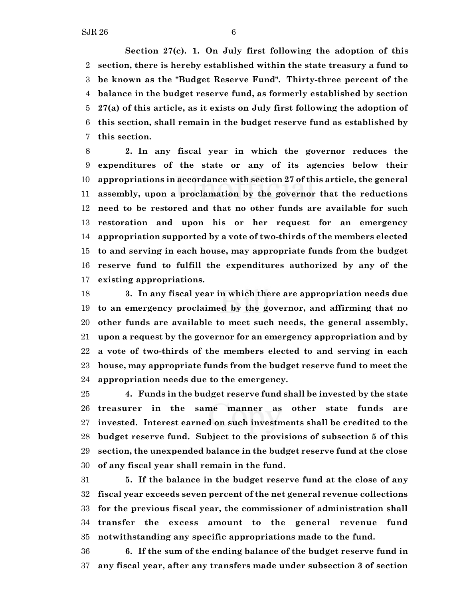**Section 27(c). 1. On July first following the adoption of this section, there is hereby established within the state treasury a fund to be known as the "Budget Reserve Fund". Thirty-three percent of the balance in the budget reserve fund, as formerly established by section 27(a) of this article, as it exists on July first following the adoption of this section, shall remain in the budget reserve fund as established by this section.**

 **2. In any fiscal year in which the governor reduces the expenditures of the state or any of its agencies below their appropriations in accordance with section 27 of this article, the general assembly, upon a proclamation by the governor that the reductions need to be restored and that no other funds are available for such restoration and upon his or her request for an emergency appropriation supported by a vote of two-thirds of the members elected to and serving in each house, may appropriate funds from the budget reserve fund to fulfill the expenditures authorized by any of the existing appropriations.**

 **3. In any fiscal year in which there are appropriation needs due to an emergency proclaimed by the governor, and affirming that no other funds are available to meet such needs, the general assembly, upon a request by the governor for an emergency appropriation and by a vote of two-thirds of the members elected to and serving in each house, may appropriate funds from the budget reserve fund to meet the appropriation needs due to the emergency.**

 **4. Funds in the budget reserve fund shall be invested by the state treasurer in the same manner as other state funds are invested. Interest earned on such investments shall be credited to the budget reserve fund. Subject to the provisions of subsection 5 of this section, the unexpended balance in the budget reserve fund at the close of any fiscal year shall remain in the fund.**

 **5. If the balance in the budget reserve fund at the close of any fiscal year exceeds seven percent of the net general revenue collections for the previous fiscal year, the commissioner of administration shall transfer the excess amount to the general revenue fund notwithstanding any specific appropriations made to the fund.**

 **6. If the sum of the ending balance of the budget reserve fund in any fiscal year, after any transfers made under subsection 3 of section**